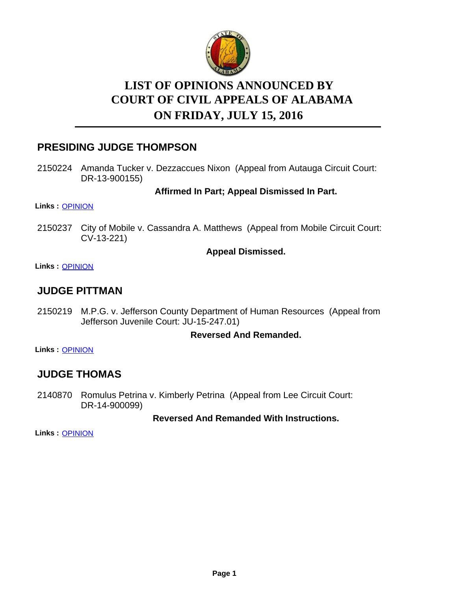

# **LIST OF OPINIONS ANNOUNCED BY ON FRIDAY, JULY 15, 2016 COURT OF CIVIL APPEALS OF ALABAMA**

### **PRESIDING JUDGE THOMPSON**

2150224 Amanda Tucker v. Dezzaccues Nixon (Appeal from Autauga Circuit Court: DR-13-900155)

**Affirmed In Part; Appeal Dismissed In Part.**

**Links :** [OPINION](https://acis.alabama.gov/displaydocs.cfm?no=748306&event=4OL0KBMST)

2150237 City of Mobile v. Cassandra A. Matthews (Appeal from Mobile Circuit Court: CV-13-221)

#### **Appeal Dismissed.**

**Links :** [OPINION](https://acis.alabama.gov/displaydocs.cfm?no=748307&event=4OL0KBMZQ)

### **JUDGE PITTMAN**

2150219 M.P.G. v. Jefferson County Department of Human Resources (Appeal from Jefferson Juvenile Court: JU-15-247.01)

#### **Reversed And Remanded.**

**Links :** [OPINION](https://acis.alabama.gov/displaydocs.cfm?no=748305&event=4OL0KBMMA)

## **JUDGE THOMAS**

2140870 Romulus Petrina v. Kimberly Petrina (Appeal from Lee Circuit Court: DR-14-900099)

#### **Reversed And Remanded With Instructions.**

**Links :** [OPINION](https://acis.alabama.gov/displaydocs.cfm?no=748301&event=4OL0KBLT9)